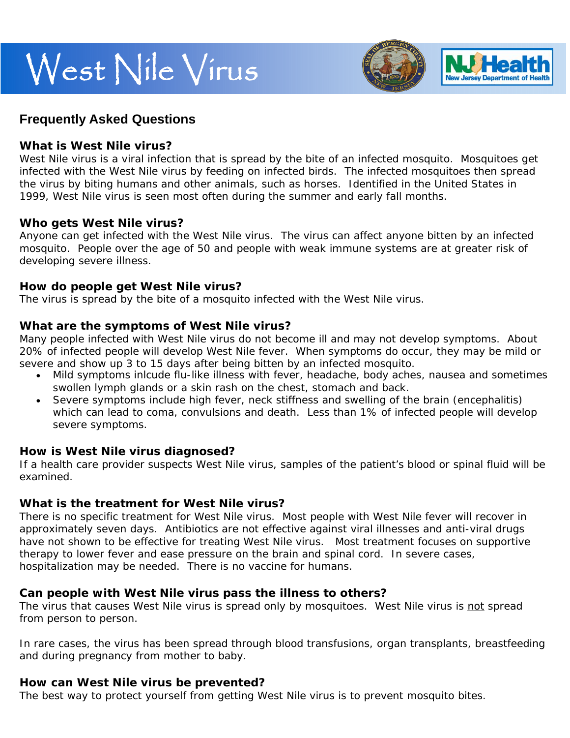# West Nile Virus



# **Frequently Asked Questions**

#### **What is West Nile virus?**

West Nile virus is a viral infection that is spread by the bite of an infected mosquito. Mosquitoes get infected with the West Nile virus by feeding on infected birds. The infected mosquitoes then spread the virus by biting humans and other animals, such as horses. Identified in the United States in 1999, West Nile virus is seen most often during the summer and early fall months.

### **Who gets West Nile virus?**

Anyone can get infected with the West Nile virus. The virus can affect anyone bitten by an infected mosquito. People over the age of 50 and people with weak immune systems are at greater risk of developing severe illness.

## **How do people get West Nile virus?**

The virus is spread by the bite of a mosquito infected with the West Nile virus.

### **What are the symptoms of West Nile virus?**

Many people infected with West Nile virus do not become ill and may not develop symptoms. About 20% of infected people will develop West Nile fever. When symptoms do occur, they may be mild or severe and show up 3 to 15 days after being bitten by an infected mosquito.

- Mild symptoms inlcude flu-like illness with fever, headache, body aches, nausea and sometimes swollen lymph glands or a skin rash on the chest, stomach and back.
- Severe symptoms include high fever, neck stiffness and swelling of the brain (encephalitis) which can lead to coma, convulsions and death. Less than 1% of infected people will develop severe symptoms.

### **How is West Nile virus diagnosed?**

If a health care provider suspects West Nile virus, samples of the patient's blood or spinal fluid will be examined.

### **What is the treatment for West Nile virus?**

There is no specific treatment for West Nile virus. Most people with West Nile fever will recover in approximately seven days. Antibiotics are not effective against viral illnesses and anti-viral drugs have not shown to be effective for treating West Nile virus. Most treatment focuses on supportive therapy to lower fever and ease pressure on the brain and spinal cord. In severe cases, hospitalization may be needed. There is no vaccine for humans.

### **Can people with West Nile virus pass the illness to others?**

The virus that causes West Nile virus is spread only by mosquitoes. West Nile virus is not spread from person to person.

In rare cases, the virus has been spread through blood transfusions, organ transplants, breastfeeding and during pregnancy from mother to baby.

### **How can West Nile virus be prevented?**

The best way to protect yourself from getting West Nile virus is to prevent mosquito bites.